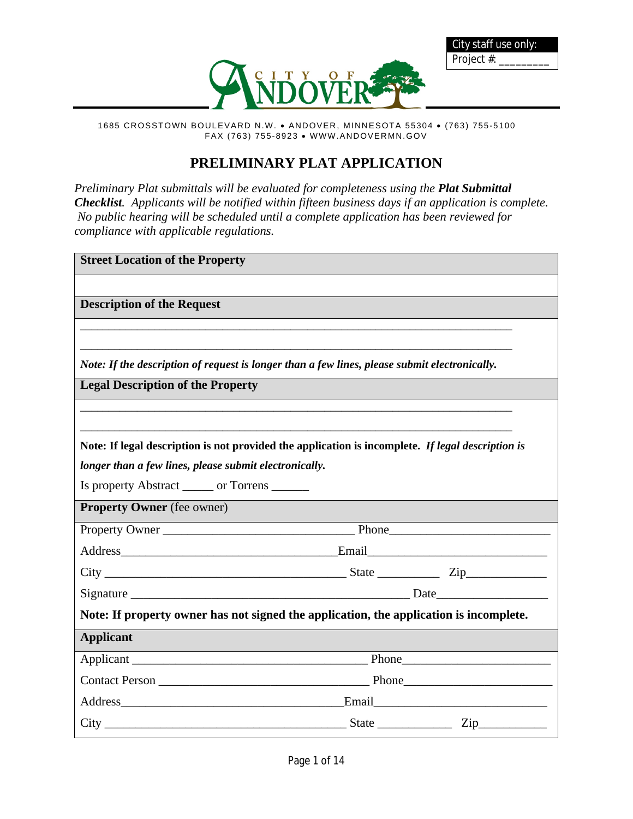

City staff use only:

Project #:



# **PRELIMINARY PLAT APPLICATION**

*Preliminary Plat submittals will be evaluated for completeness using the Plat Submittal Checklist. Applicants will be notified within fifteen business days if an application is complete. No public hearing will be scheduled until a complete application has been reviewed for compliance with applicable regulations.*

| <b>Street Location of the Property</b>                                                            |  |
|---------------------------------------------------------------------------------------------------|--|
|                                                                                                   |  |
| <b>Description of the Request</b>                                                                 |  |
|                                                                                                   |  |
|                                                                                                   |  |
| Note: If the description of request is longer than a few lines, please submit electronically.     |  |
| <b>Legal Description of the Property</b>                                                          |  |
|                                                                                                   |  |
|                                                                                                   |  |
| Note: If legal description is not provided the application is incomplete. If legal description is |  |
| longer than a few lines, please submit electronically.                                            |  |
| Is property Abstract _______ or Torrens _______                                                   |  |
| <b>Property Owner</b> (fee owner)                                                                 |  |
|                                                                                                   |  |
|                                                                                                   |  |
|                                                                                                   |  |
|                                                                                                   |  |
| Note: If property owner has not signed the application, the application is incomplete.            |  |
| <b>Applicant</b>                                                                                  |  |
|                                                                                                   |  |
|                                                                                                   |  |
|                                                                                                   |  |
| $City$ $Zip$ $Zip$                                                                                |  |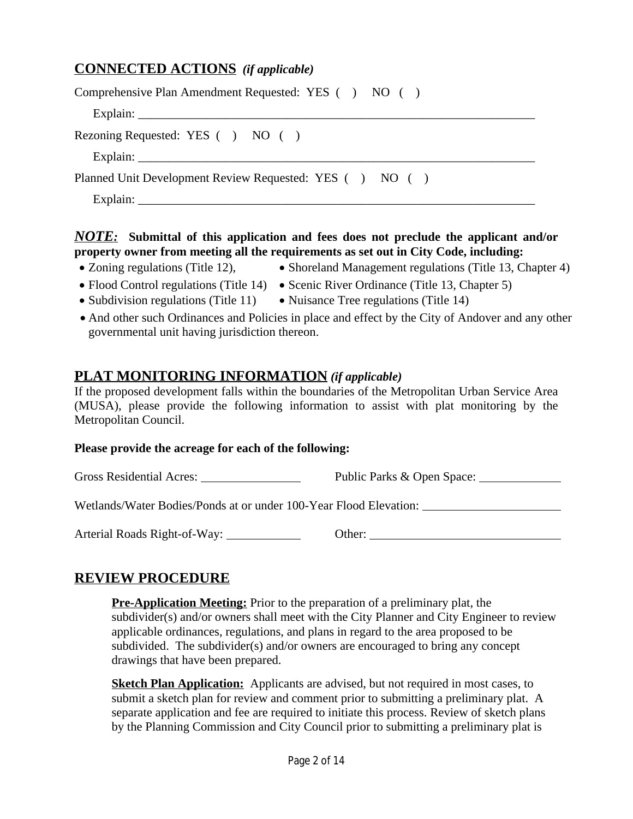# **CONNECTED ACTIONS** *(if applicable)*

| Comprehensive Plan Amendment Requested: YES () NO ()    |
|---------------------------------------------------------|
|                                                         |
| Rezoning Requested: YES () NO ()                        |
|                                                         |
| Planned Unit Development Review Requested: YES () NO () |
| Explain:                                                |

#### *NOTE:* **Submittal of this application and fees does not preclude the applicant and/or property owner from meeting all the requirements as set out in City Code, including:**

- 
- Zoning regulations (Title 12), Shoreland Management regulations (Title 13, Chapter 4)
- Flood Control regulations (Title 14) Scenic River Ordinance (Title 13, Chapter 5)
- Subdivision regulations (Title 11) Nuisance Tree regulations (Title 14)
- And other such Ordinances and Policies in place and effect by the City of Andover and any other governmental unit having jurisdiction thereon.

## **PLAT MONITORING INFORMATION** *(if applicable)*

If the proposed development falls within the boundaries of the Metropolitan Urban Service Area (MUSA), please provide the following information to assist with plat monitoring by the Metropolitan Council.

#### **Please provide the acreage for each of the following:**

Gross Residential Acres: Public Parks & Open Space:

Wetlands/Water Bodies/Ponds at or under 100-Year Flood Elevation:

Arterial Roads Right-of-Way: Other:

# **REVIEW PROCEDURE**

**Pre-Application Meeting:** Prior to the preparation of a preliminary plat, the subdivider(s) and/or owners shall meet with the City Planner and City Engineer to review applicable ordinances, regulations, and plans in regard to the area proposed to be subdivided. The subdivider(s) and/or owners are encouraged to bring any concept drawings that have been prepared.

**Sketch Plan Application:** Applicants are advised, but not required in most cases, to submit a sketch plan for review and comment prior to submitting a preliminary plat. A separate application and fee are required to initiate this process. Review of sketch plans by the Planning Commission and City Council prior to submitting a preliminary plat is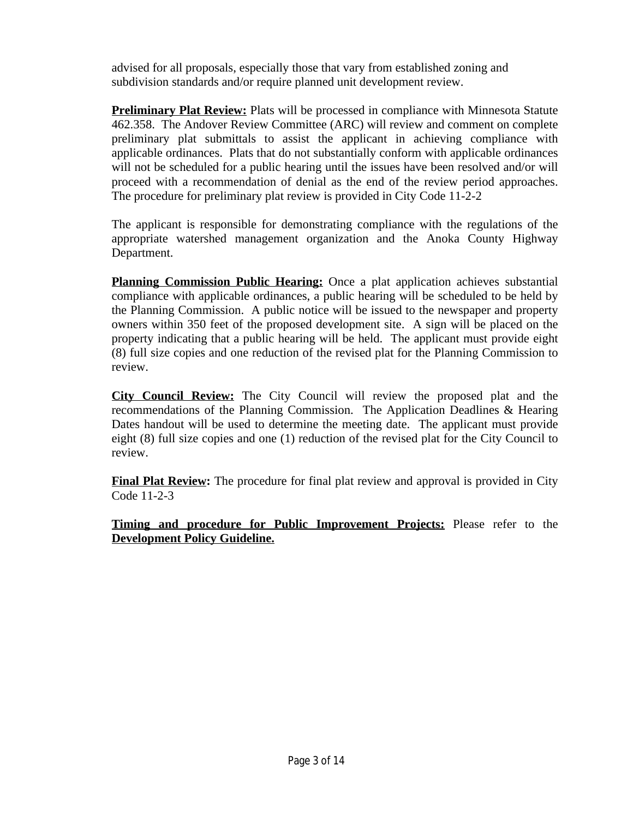advised for all proposals, especially those that vary from established zoning and subdivision standards and/or require planned unit development review.

**Preliminary Plat Review:** Plats will be processed in compliance with Minnesota Statute 462.358. The Andover Review Committee (ARC) will review and comment on complete preliminary plat submittals to assist the applicant in achieving compliance with applicable ordinances. Plats that do not substantially conform with applicable ordinances will not be scheduled for a public hearing until the issues have been resolved and/or will proceed with a recommendation of denial as the end of the review period approaches. The procedure for preliminary plat review is provided in City Code 11-2-2

The applicant is responsible for demonstrating compliance with the regulations of the appropriate watershed management organization and the Anoka County Highway Department.

**Planning Commission Public Hearing:** Once a plat application achieves substantial compliance with applicable ordinances, a public hearing will be scheduled to be held by the Planning Commission. A public notice will be issued to the newspaper and property owners within 350 feet of the proposed development site. A sign will be placed on the property indicating that a public hearing will be held. The applicant must provide eight (8) full size copies and one reduction of the revised plat for the Planning Commission to review.

**City Council Review:** The City Council will review the proposed plat and the recommendations of the Planning Commission. The Application Deadlines & Hearing Dates handout will be used to determine the meeting date. The applicant must provide eight (8) full size copies and one (1) reduction of the revised plat for the City Council to review.

**Final Plat Review:** The procedure for final plat review and approval is provided in City Code 11-2-3

**Timing and procedure for Public Improvement Projects:** Please refer to the **Development Policy Guideline.**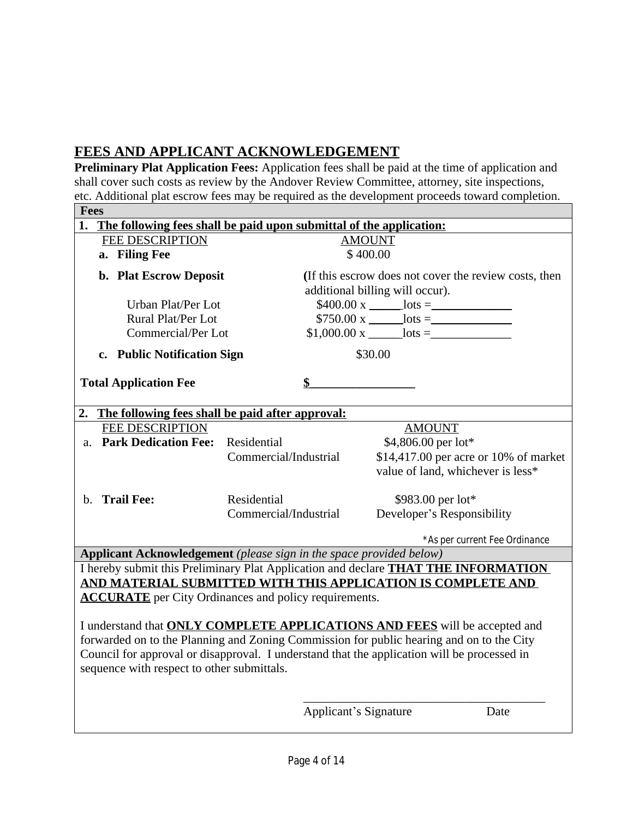# **FEES AND APPLICANT ACKNOWLEDGEMENT**

**Preliminary Plat Application Fees:** Application fees shall be paid at the time of application and shall cover such costs as review by the Andover Review Committee, attorney, site inspections, etc. Additional plat escrow fees may be required as the development proceeds toward completion.

|                                                                                             | <b>Fees</b>                                                                               |                       |                                                                                          |                                       |  |
|---------------------------------------------------------------------------------------------|-------------------------------------------------------------------------------------------|-----------------------|------------------------------------------------------------------------------------------|---------------------------------------|--|
|                                                                                             | 1. The following fees shall be paid upon submittal of the application:                    |                       |                                                                                          |                                       |  |
|                                                                                             | <b>FEE DESCRIPTION</b>                                                                    |                       | <b>AMOUNT</b>                                                                            |                                       |  |
|                                                                                             | a. Filing Fee                                                                             |                       | \$400.00                                                                                 |                                       |  |
|                                                                                             | b. Plat Escrow Deposit                                                                    |                       | (If this escrow does not cover the review costs, then<br>additional billing will occur). |                                       |  |
|                                                                                             | Urban Plat/Per Lot                                                                        |                       | $$400.00 \text{ x}$ hots =                                                               |                                       |  |
|                                                                                             | Rural Plat/Per Lot                                                                        |                       |                                                                                          |                                       |  |
|                                                                                             | Commercial/Per Lot                                                                        |                       |                                                                                          |                                       |  |
|                                                                                             |                                                                                           |                       |                                                                                          |                                       |  |
|                                                                                             | c. Public Notification Sign                                                               |                       | \$30.00                                                                                  |                                       |  |
|                                                                                             |                                                                                           |                       |                                                                                          |                                       |  |
|                                                                                             | <b>Total Application Fee</b>                                                              |                       |                                                                                          |                                       |  |
|                                                                                             |                                                                                           |                       |                                                                                          |                                       |  |
|                                                                                             | 2. The following fees shall be paid after approval:                                       |                       |                                                                                          |                                       |  |
|                                                                                             | <b>FEE DESCRIPTION</b>                                                                    |                       | <b>AMOUNT</b>                                                                            |                                       |  |
|                                                                                             | a. Park Dedication Fee:                                                                   | Residential           | \$4,806.00 per lot*                                                                      |                                       |  |
|                                                                                             |                                                                                           | Commercial/Industrial |                                                                                          | \$14,417.00 per acre or 10% of market |  |
|                                                                                             |                                                                                           |                       | value of land, whichever is less*                                                        |                                       |  |
|                                                                                             |                                                                                           |                       |                                                                                          |                                       |  |
| $h_{-}$                                                                                     | <b>Trail Fee:</b>                                                                         | Residential           | \$983.00 per lot*                                                                        |                                       |  |
|                                                                                             |                                                                                           | Commercial/Industrial | Developer's Responsibility                                                               |                                       |  |
|                                                                                             |                                                                                           |                       |                                                                                          |                                       |  |
|                                                                                             |                                                                                           |                       |                                                                                          | *As per current Fee Ordinance         |  |
|                                                                                             | Applicant Acknowledgement (please sign in the space provided below)                       |                       |                                                                                          |                                       |  |
|                                                                                             | I hereby submit this Preliminary Plat Application and declare <b>THAT THE INFORMATION</b> |                       |                                                                                          |                                       |  |
|                                                                                             | AND MATERIAL SUBMITTED WITH THIS APPLICATION IS COMPLETE AND                              |                       |                                                                                          |                                       |  |
| <b>ACCURATE</b> per City Ordinances and policy requirements.                                |                                                                                           |                       |                                                                                          |                                       |  |
|                                                                                             |                                                                                           |                       |                                                                                          |                                       |  |
| I understand that <b>ONLY COMPLETE APPLICATIONS AND FEES</b> will be accepted and           |                                                                                           |                       |                                                                                          |                                       |  |
| forwarded on to the Planning and Zoning Commission for public hearing and on to the City    |                                                                                           |                       |                                                                                          |                                       |  |
| Council for approval or disapproval. I understand that the application will be processed in |                                                                                           |                       |                                                                                          |                                       |  |
| sequence with respect to other submittals.                                                  |                                                                                           |                       |                                                                                          |                                       |  |
|                                                                                             |                                                                                           |                       |                                                                                          |                                       |  |
|                                                                                             |                                                                                           |                       |                                                                                          |                                       |  |
|                                                                                             |                                                                                           |                       | <b>Applicant's Signature</b>                                                             | Date                                  |  |
|                                                                                             |                                                                                           |                       |                                                                                          |                                       |  |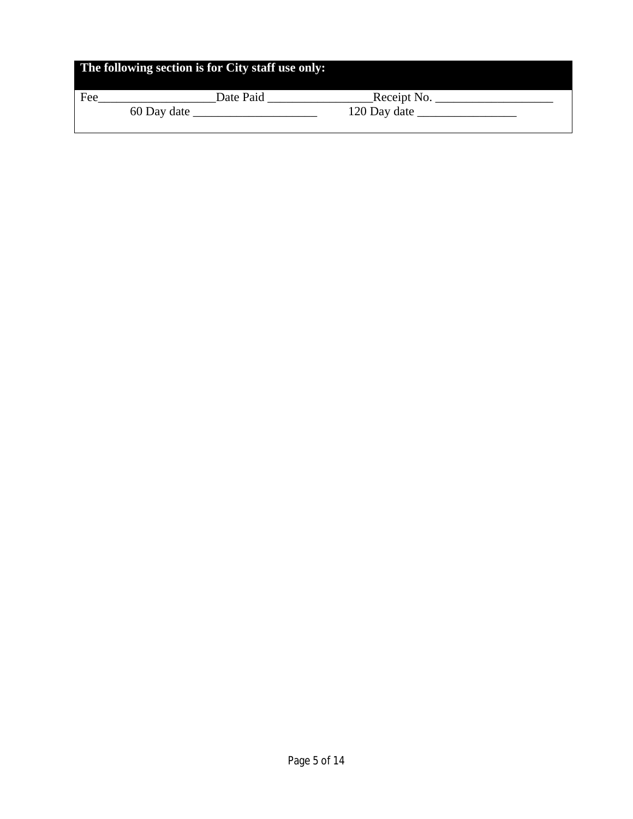| The following section is for City staff use only: |             |              |  |  |
|---------------------------------------------------|-------------|--------------|--|--|
| Fee                                               | Date Paid   | Receipt No.  |  |  |
|                                                   | 60 Day date | 120 Day date |  |  |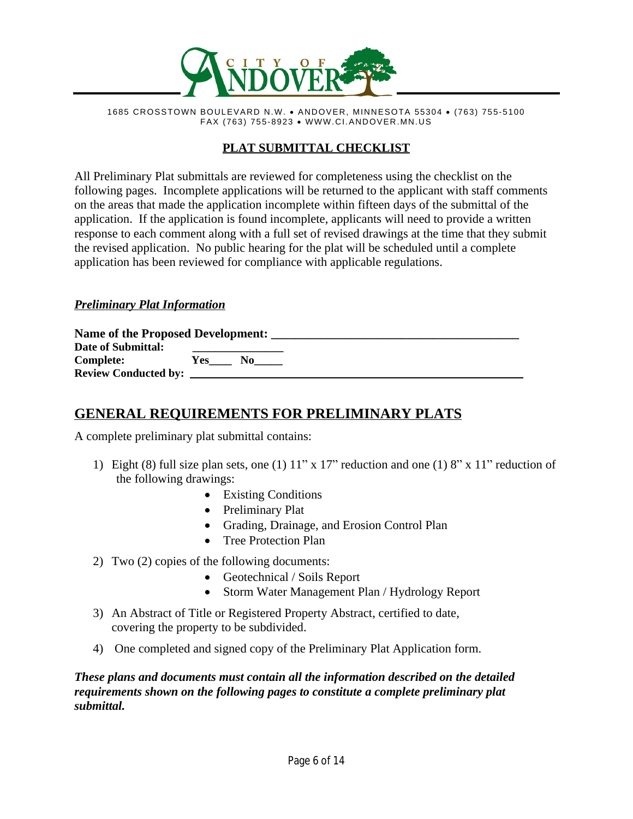

1685 CROSSTOWN BOULEVARD N.W. · ANDOVER, MINNESOTA 55304 · (763) 755-5100 FAX (763) 755-8923 · WWW.CI.ANDOVER.MN.US

# **PLAT SUBMITTAL CHECKLIST**

All Preliminary Plat submittals are reviewed for completeness using the checklist on the following pages. Incomplete applications will be returned to the applicant with staff comments on the areas that made the application incomplete within fifteen days of the submittal of the application. If the application is found incomplete, applicants will need to provide a written response to each comment along with a full set of revised drawings at the time that they submit the revised application. No public hearing for the plat will be scheduled until a complete application has been reviewed for compliance with applicable regulations.

#### *Preliminary Plat Information*

| Name of the Proposed Development: |            |    |  |  |
|-----------------------------------|------------|----|--|--|
| Date of Submittal:                |            |    |  |  |
| Complete:                         | <b>Yes</b> | No |  |  |
| <b>Review Conducted by:</b>       |            |    |  |  |

# **GENERAL REQUIREMENTS FOR PRELIMINARY PLATS**

A complete preliminary plat submittal contains:

- 1) Eight (8) full size plan sets, one (1) 11" x 17" reduction and one (1) 8" x 11" reduction of the following drawings:
	- Existing Conditions
	- Preliminary Plat
	- · Grading, Drainage, and Erosion Control Plan
	- Tree Protection Plan
- 2) Two (2) copies of the following documents:
	- Geotechnical / Soils Report
	- Storm Water Management Plan / Hydrology Report
- 3) An Abstract of Title or Registered Property Abstract, certified to date, covering the property to be subdivided.
- 4) One completed and signed copy of the Preliminary Plat Application form.

*These plans and documents must contain all the information described on the detailed requirements shown on the following pages to constitute a complete preliminary plat submittal.*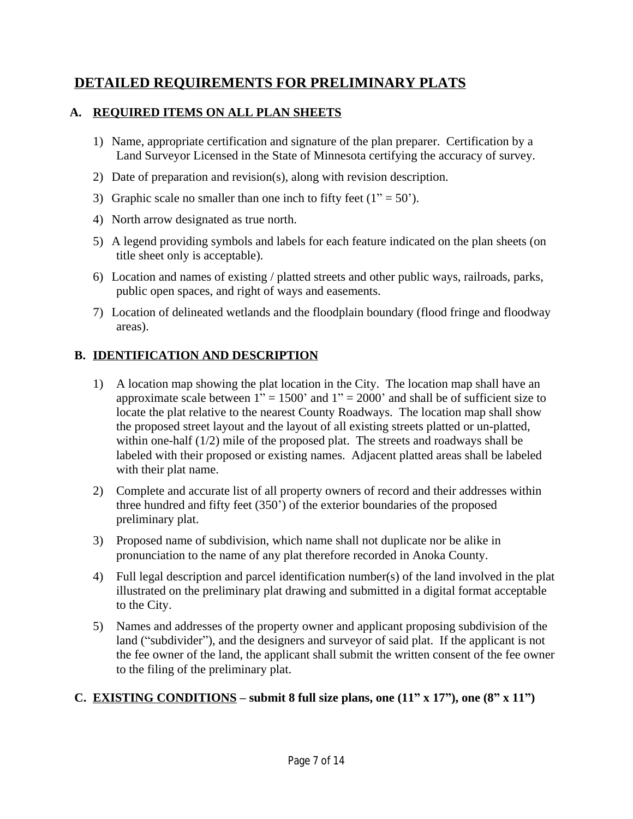# **DETAILED REQUIREMENTS FOR PRELIMINARY PLATS**

#### **A. REQUIRED ITEMS ON ALL PLAN SHEETS**

- 1) Name, appropriate certification and signature of the plan preparer. Certification by a Land Surveyor Licensed in the State of Minnesota certifying the accuracy of survey.
- 2) Date of preparation and revision(s), along with revision description.
- 3) Graphic scale no smaller than one inch to fifty feet  $(1" = 50')$ .
- 4) North arrow designated as true north.
- 5) A legend providing symbols and labels for each feature indicated on the plan sheets (on title sheet only is acceptable).
- 6) Location and names of existing / platted streets and other public ways, railroads, parks, public open spaces, and right of ways and easements.
- 7) Location of delineated wetlands and the floodplain boundary (flood fringe and floodway areas).

## **B. IDENTIFICATION AND DESCRIPTION**

- 1) A location map showing the plat location in the City. The location map shall have an approximate scale between  $1" = 1500'$  and  $1" = 2000'$  and shall be of sufficient size to locate the plat relative to the nearest County Roadways. The location map shall show the proposed street layout and the layout of all existing streets platted or un-platted, within one-half (1/2) mile of the proposed plat. The streets and roadways shall be labeled with their proposed or existing names. Adjacent platted areas shall be labeled with their plat name.
- 2) Complete and accurate list of all property owners of record and their addresses within three hundred and fifty feet (350') of the exterior boundaries of the proposed preliminary plat.
- 3) Proposed name of subdivision, which name shall not duplicate nor be alike in pronunciation to the name of any plat therefore recorded in Anoka County.
- 4) Full legal description and parcel identification number(s) of the land involved in the plat illustrated on the preliminary plat drawing and submitted in a digital format acceptable to the City.
- 5) Names and addresses of the property owner and applicant proposing subdivision of the land ("subdivider"), and the designers and surveyor of said plat. If the applicant is not the fee owner of the land, the applicant shall submit the written consent of the fee owner to the filing of the preliminary plat.

### **C. EXISTING CONDITIONS** – submit 8 full size plans, one  $(11'' \times 17'')$ , one  $(8'' \times 11'')$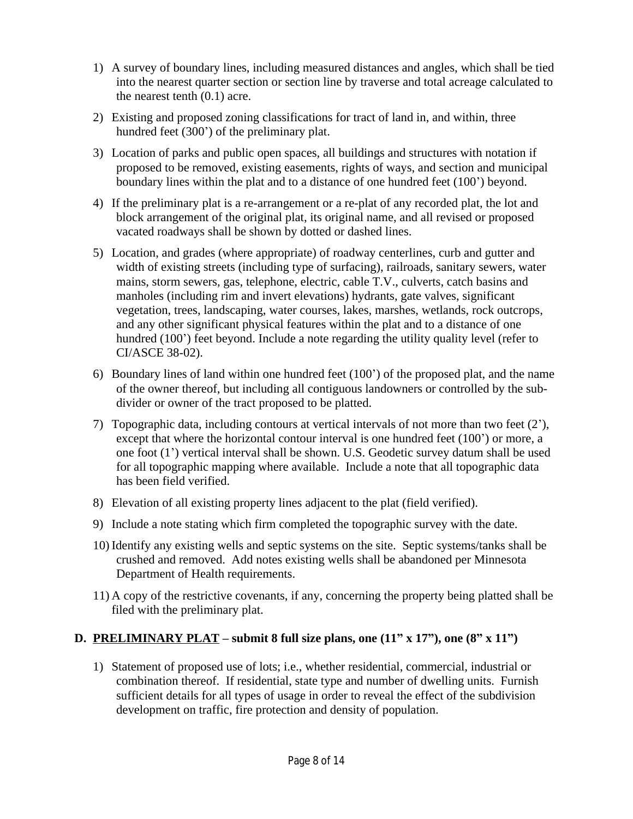- 1) A survey of boundary lines, including measured distances and angles, which shall be tied into the nearest quarter section or section line by traverse and total acreage calculated to the nearest tenth (0.1) acre.
- 2) Existing and proposed zoning classifications for tract of land in, and within, three hundred feet (300') of the preliminary plat.
- 3) Location of parks and public open spaces, all buildings and structures with notation if proposed to be removed, existing easements, rights of ways, and section and municipal boundary lines within the plat and to a distance of one hundred feet (100') beyond.
- 4) If the preliminary plat is a re-arrangement or a re-plat of any recorded plat, the lot and block arrangement of the original plat, its original name, and all revised or proposed vacated roadways shall be shown by dotted or dashed lines.
- 5) Location, and grades (where appropriate) of roadway centerlines, curb and gutter and width of existing streets (including type of surfacing), railroads, sanitary sewers, water mains, storm sewers, gas, telephone, electric, cable T.V., culverts, catch basins and manholes (including rim and invert elevations) hydrants, gate valves, significant vegetation, trees, landscaping, water courses, lakes, marshes, wetlands, rock outcrops, and any other significant physical features within the plat and to a distance of one hundred (100') feet beyond. Include a note regarding the utility quality level (refer to CI/ASCE 38-02).
- 6) Boundary lines of land within one hundred feet (100') of the proposed plat, and the name of the owner thereof, but including all contiguous landowners or controlled by the subdivider or owner of the tract proposed to be platted.
- 7) Topographic data, including contours at vertical intervals of not more than two feet (2'), except that where the horizontal contour interval is one hundred feet (100') or more, a one foot (1') vertical interval shall be shown. U.S. Geodetic survey datum shall be used for all topographic mapping where available. Include a note that all topographic data has been field verified.
- 8) Elevation of all existing property lines adjacent to the plat (field verified).
- 9) Include a note stating which firm completed the topographic survey with the date.
- 10) Identify any existing wells and septic systems on the site. Septic systems/tanks shall be crushed and removed. Add notes existing wells shall be abandoned per Minnesota Department of Health requirements.
- 11) A copy of the restrictive covenants, if any, concerning the property being platted shall be filed with the preliminary plat.

# **D. PRELIMINARY PLAT – submit 8 full size plans, one (11" x 17"), one (8" x 11")**

1) Statement of proposed use of lots; i.e., whether residential, commercial, industrial or combination thereof. If residential, state type and number of dwelling units. Furnish sufficient details for all types of usage in order to reveal the effect of the subdivision development on traffic, fire protection and density of population.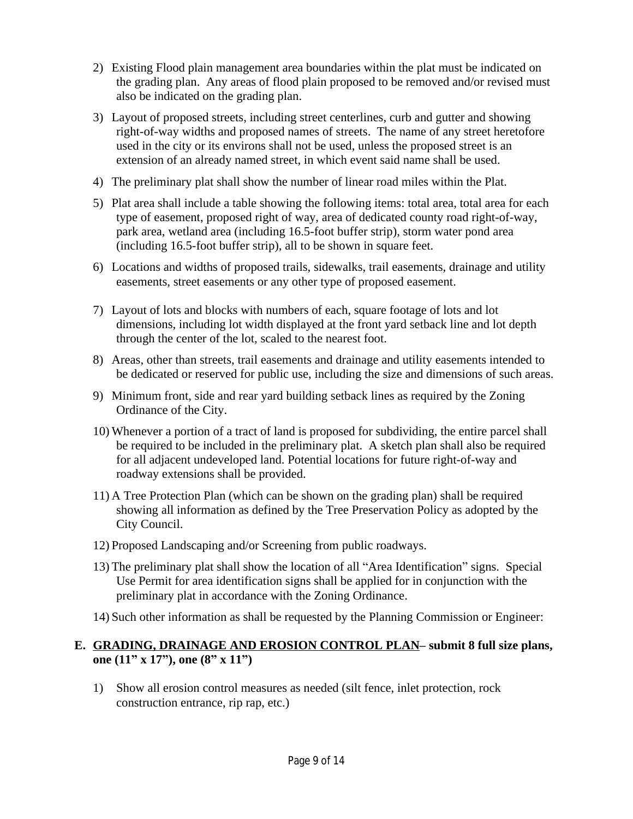- 2) Existing Flood plain management area boundaries within the plat must be indicated on the grading plan. Any areas of flood plain proposed to be removed and/or revised must also be indicated on the grading plan.
- 3) Layout of proposed streets, including street centerlines, curb and gutter and showing right-of-way widths and proposed names of streets. The name of any street heretofore used in the city or its environs shall not be used, unless the proposed street is an extension of an already named street, in which event said name shall be used.
- 4) The preliminary plat shall show the number of linear road miles within the Plat.
- 5) Plat area shall include a table showing the following items: total area, total area for each type of easement, proposed right of way, area of dedicated county road right-of-way, park area, wetland area (including 16.5-foot buffer strip), storm water pond area (including 16.5-foot buffer strip), all to be shown in square feet.
- 6) Locations and widths of proposed trails, sidewalks, trail easements, drainage and utility easements, street easements or any other type of proposed easement.
- 7) Layout of lots and blocks with numbers of each, square footage of lots and lot dimensions, including lot width displayed at the front yard setback line and lot depth through the center of the lot, scaled to the nearest foot.
- 8) Areas, other than streets, trail easements and drainage and utility easements intended to be dedicated or reserved for public use, including the size and dimensions of such areas.
- 9) Minimum front, side and rear yard building setback lines as required by the Zoning Ordinance of the City.
- 10) Whenever a portion of a tract of land is proposed for subdividing, the entire parcel shall be required to be included in the preliminary plat. A sketch plan shall also be required for all adjacent undeveloped land. Potential locations for future right-of-way and roadway extensions shall be provided.
- 11) A Tree Protection Plan (which can be shown on the grading plan) shall be required showing all information as defined by the Tree Preservation Policy as adopted by the City Council.
- 12) Proposed Landscaping and/or Screening from public roadways.
- 13) The preliminary plat shall show the location of all "Area Identification" signs. Special Use Permit for area identification signs shall be applied for in conjunction with the preliminary plat in accordance with the Zoning Ordinance.
- 14) Such other information as shall be requested by the Planning Commission or Engineer:

#### **E. GRADING, DRAINAGE AND EROSION CONTROL PLAN– submit 8 full size plans, one (11" x 17"), one (8" x 11")**

1) Show all erosion control measures as needed (silt fence, inlet protection, rock construction entrance, rip rap, etc.)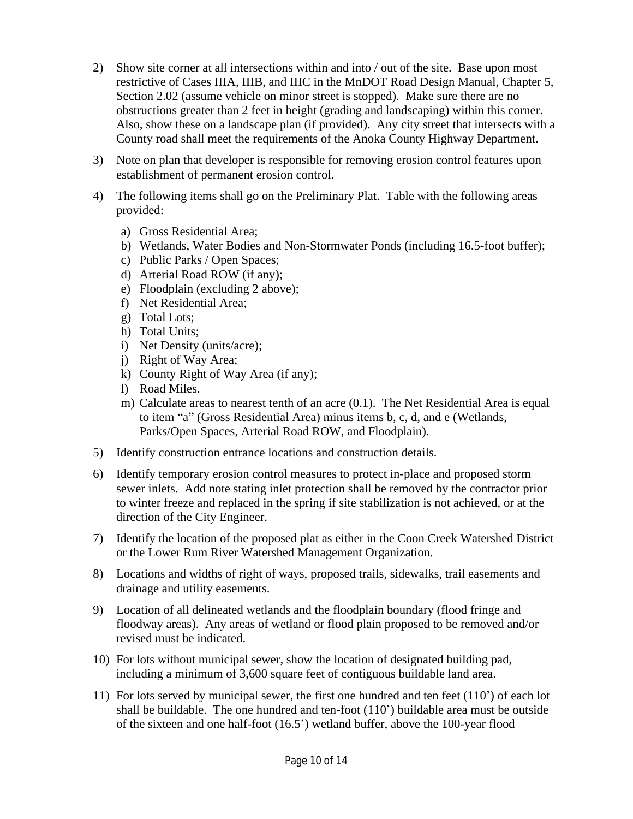- 2) Show site corner at all intersections within and into / out of the site. Base upon most restrictive of Cases IIIA, IIIB, and IIIC in the MnDOT Road Design Manual, Chapter 5, Section 2.02 (assume vehicle on minor street is stopped). Make sure there are no obstructions greater than 2 feet in height (grading and landscaping) within this corner. Also, show these on a landscape plan (if provided). Any city street that intersects with a County road shall meet the requirements of the Anoka County Highway Department.
- 3) Note on plan that developer is responsible for removing erosion control features upon establishment of permanent erosion control.
- 4) The following items shall go on the Preliminary Plat. Table with the following areas provided:
	- a) Gross Residential Area;
	- b) Wetlands, Water Bodies and Non-Stormwater Ponds (including 16.5-foot buffer);
	- c) Public Parks / Open Spaces;
	- d) Arterial Road ROW (if any);
	- e) Floodplain (excluding 2 above);
	- f) Net Residential Area;
	- g) Total Lots;
	- h) Total Units;
	- i) Net Density (units/acre);
	- j) Right of Way Area;
	- k) County Right of Way Area (if any);
	- l) Road Miles.
	- m) Calculate areas to nearest tenth of an acre (0.1). The Net Residential Area is equal to item "a" (Gross Residential Area) minus items b, c, d, and e (Wetlands, Parks/Open Spaces, Arterial Road ROW, and Floodplain).
- 5) Identify construction entrance locations and construction details.
- 6) Identify temporary erosion control measures to protect in-place and proposed storm sewer inlets. Add note stating inlet protection shall be removed by the contractor prior to winter freeze and replaced in the spring if site stabilization is not achieved, or at the direction of the City Engineer.
- 7) Identify the location of the proposed plat as either in the Coon Creek Watershed District or the Lower Rum River Watershed Management Organization.
- 8) Locations and widths of right of ways, proposed trails, sidewalks, trail easements and drainage and utility easements.
- 9) Location of all delineated wetlands and the floodplain boundary (flood fringe and floodway areas). Any areas of wetland or flood plain proposed to be removed and/or revised must be indicated.
- 10) For lots without municipal sewer, show the location of designated building pad, including a minimum of 3,600 square feet of contiguous buildable land area.
- 11) For lots served by municipal sewer, the first one hundred and ten feet (110') of each lot shall be buildable. The one hundred and ten-foot (110') buildable area must be outside of the sixteen and one half-foot (16.5') wetland buffer, above the 100-year flood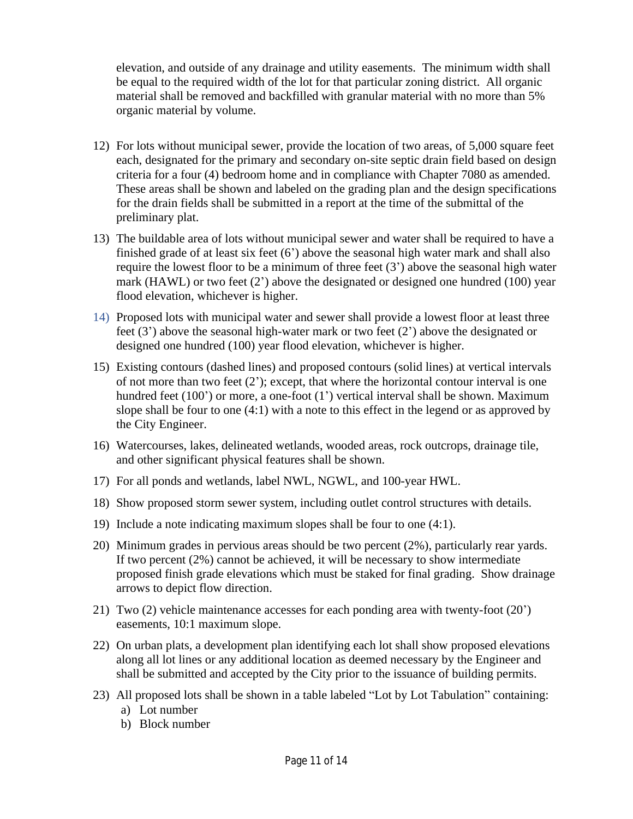elevation, and outside of any drainage and utility easements. The minimum width shall be equal to the required width of the lot for that particular zoning district. All organic material shall be removed and backfilled with granular material with no more than 5% organic material by volume.

- 12) For lots without municipal sewer, provide the location of two areas, of 5,000 square feet each, designated for the primary and secondary on-site septic drain field based on design criteria for a four (4) bedroom home and in compliance with Chapter 7080 as amended. These areas shall be shown and labeled on the grading plan and the design specifications for the drain fields shall be submitted in a report at the time of the submittal of the preliminary plat.
- 13) The buildable area of lots without municipal sewer and water shall be required to have a finished grade of at least six feet  $(6')$  above the seasonal high water mark and shall also require the lowest floor to be a minimum of three feet (3') above the seasonal high water mark (HAWL) or two feet  $(2')$  above the designated or designed one hundred (100) year flood elevation, whichever is higher.
- 14) Proposed lots with municipal water and sewer shall provide a lowest floor at least three feet (3') above the seasonal high-water mark or two feet (2') above the designated or designed one hundred (100) year flood elevation, whichever is higher.
- 15) Existing contours (dashed lines) and proposed contours (solid lines) at vertical intervals of not more than two feet (2'); except, that where the horizontal contour interval is one hundred feet (100') or more, a one-foot (1') vertical interval shall be shown. Maximum slope shall be four to one (4:1) with a note to this effect in the legend or as approved by the City Engineer.
- 16) Watercourses, lakes, delineated wetlands, wooded areas, rock outcrops, drainage tile, and other significant physical features shall be shown.
- 17) For all ponds and wetlands, label NWL, NGWL, and 100-year HWL.
- 18) Show proposed storm sewer system, including outlet control structures with details.
- 19) Include a note indicating maximum slopes shall be four to one (4:1).
- 20) Minimum grades in pervious areas should be two percent (2%), particularly rear yards. If two percent (2%) cannot be achieved, it will be necessary to show intermediate proposed finish grade elevations which must be staked for final grading. Show drainage arrows to depict flow direction.
- 21) Two (2) vehicle maintenance accesses for each ponding area with twenty-foot (20') easements, 10:1 maximum slope.
- 22) On urban plats, a development plan identifying each lot shall show proposed elevations along all lot lines or any additional location as deemed necessary by the Engineer and shall be submitted and accepted by the City prior to the issuance of building permits.
- 23) All proposed lots shall be shown in a table labeled "Lot by Lot Tabulation" containing:
	- a) Lot number
	- b) Block number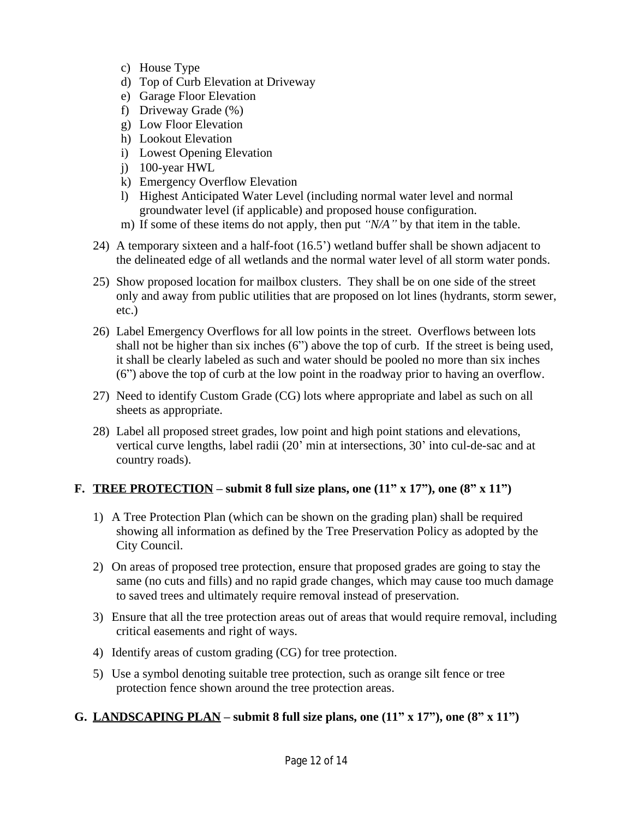- c) House Type
- d) Top of Curb Elevation at Driveway
- e) Garage Floor Elevation
- f) Driveway Grade (%)
- g) Low Floor Elevation
- h) Lookout Elevation
- i) Lowest Opening Elevation
- j) 100-year HWL
- k) Emergency Overflow Elevation
- l) Highest Anticipated Water Level (including normal water level and normal groundwater level (if applicable) and proposed house configuration.
- m) If some of these items do not apply, then put *"N/A"* by that item in the table.
- 24) A temporary sixteen and a half-foot (16.5') wetland buffer shall be shown adjacent to the delineated edge of all wetlands and the normal water level of all storm water ponds.
- 25) Show proposed location for mailbox clusters. They shall be on one side of the street only and away from public utilities that are proposed on lot lines (hydrants, storm sewer, etc.)
- 26) Label Emergency Overflows for all low points in the street. Overflows between lots shall not be higher than six inches  $(6)$  above the top of curb. If the street is being used, it shall be clearly labeled as such and water should be pooled no more than six inches (6") above the top of curb at the low point in the roadway prior to having an overflow.
- 27) Need to identify Custom Grade (CG) lots where appropriate and label as such on all sheets as appropriate.
- 28) Label all proposed street grades, low point and high point stations and elevations, vertical curve lengths, label radii (20' min at intersections, 30' into cul-de-sac and at country roads).

# **F. TREE PROTECTION** – submit 8 full size plans, one  $(11'' \times 17'')$ , one  $(8'' \times 11'')$

- 1) A Tree Protection Plan (which can be shown on the grading plan) shall be required showing all information as defined by the Tree Preservation Policy as adopted by the City Council.
- 2) On areas of proposed tree protection, ensure that proposed grades are going to stay the same (no cuts and fills) and no rapid grade changes, which may cause too much damage to saved trees and ultimately require removal instead of preservation.
- 3) Ensure that all the tree protection areas out of areas that would require removal, including critical easements and right of ways.
- 4) Identify areas of custom grading (CG) for tree protection.
- 5) Use a symbol denoting suitable tree protection, such as orange silt fence or tree protection fence shown around the tree protection areas.

# **G. LANDSCAPING PLAN** – submit 8 full size plans, one  $(11^{\degree} \text{ x } 17^{\degree})$ , one  $(8^{\degree} \text{ x } 11^{\degree})$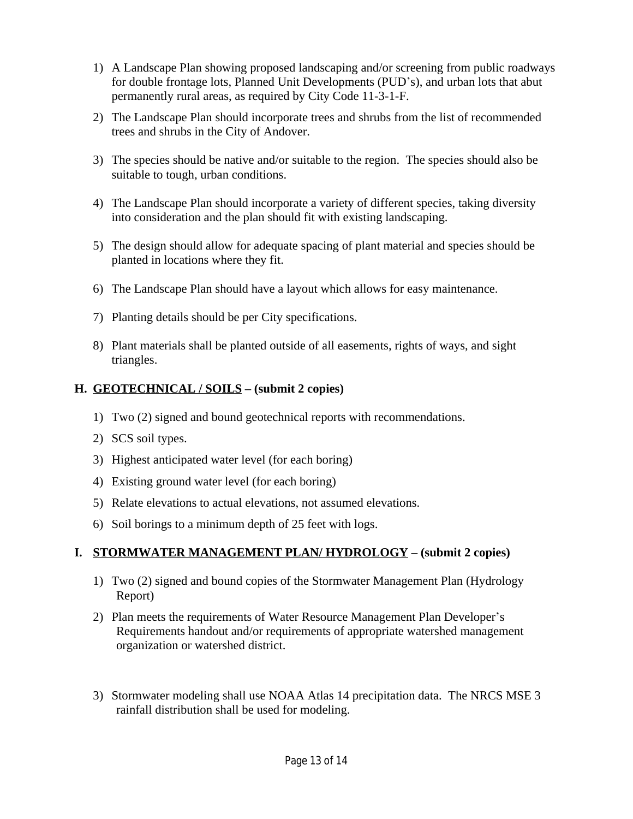- 1) A Landscape Plan showing proposed landscaping and/or screening from public roadways for double frontage lots, Planned Unit Developments (PUD's), and urban lots that abut permanently rural areas, as required by City Code 11-3-1-F.
- 2) The Landscape Plan should incorporate trees and shrubs from the list of recommended trees and shrubs in the City of Andover.
- 3) The species should be native and/or suitable to the region. The species should also be suitable to tough, urban conditions.
- 4) The Landscape Plan should incorporate a variety of different species, taking diversity into consideration and the plan should fit with existing landscaping.
- 5) The design should allow for adequate spacing of plant material and species should be planted in locations where they fit.
- 6) The Landscape Plan should have a layout which allows for easy maintenance.
- 7) Planting details should be per City specifications.
- 8) Plant materials shall be planted outside of all easements, rights of ways, and sight triangles.

### **H. GEOTECHNICAL / SOILS – (submit 2 copies)**

- 1) Two (2) signed and bound geotechnical reports with recommendations.
- 2) SCS soil types.
- 3) Highest anticipated water level (for each boring)
- 4) Existing ground water level (for each boring)
- 5) Relate elevations to actual elevations, not assumed elevations.
- 6) Soil borings to a minimum depth of 25 feet with logs.

### **I. STORMWATER MANAGEMENT PLAN/ HYDROLOGY – (submit 2 copies)**

- 1) Two (2) signed and bound copies of the Stormwater Management Plan (Hydrology Report)
- 2) Plan meets the requirements of Water Resource Management Plan Developer's Requirements handout and/or requirements of appropriate watershed management organization or watershed district.
- 3) Stormwater modeling shall use NOAA Atlas 14 precipitation data. The NRCS MSE 3 rainfall distribution shall be used for modeling.